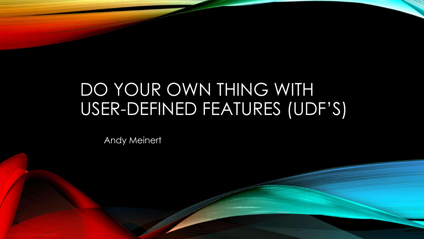# DO YOUR OWN THING WITH USER-DEFINED FEATURES (UDF'S)

Andy Meinert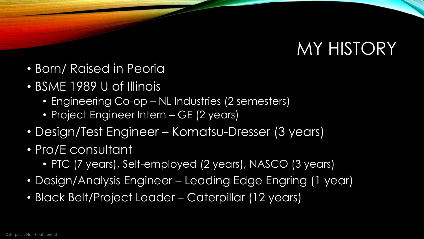# MY HISTORY

- Born/ Raised in Peoria
- BSME 1989 U of Illinois
	- Engineering Co-op NL Industries (2 semesters)
	- Project Engineer Intern GE (2 years)
- Design/Test Engineer Komatsu-Dresser (3 years)
- Pro/E consultant
	- PTC (7 years), Self-employed (2 years), NASCO (3 years)
- Design/Analysis Engineer Leading Edge Engring (1 year)
- Black Belt/Project Leader Caterpillar (12 years)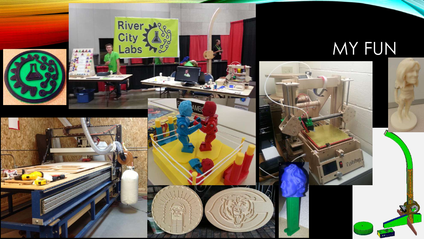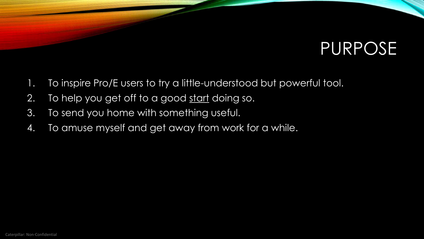# PURPOSE

- 1. To inspire Pro/E users to try a little-understood but powerful tool.
- 2. To help you get off to a good start doing so.
- 3. To send you home with something useful.
- 4. To amuse myself and get away from work for a while.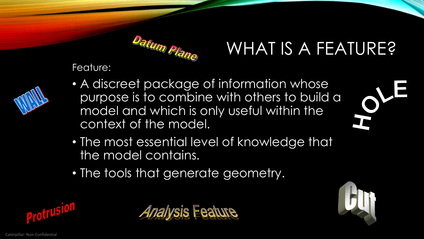

# WHAT IS A FEATURE?

Feature:



- A discreet package of information whose purpose is to combine with others to build a model and which is only useful within the context of the model.
- The most essential level of knowledge that the model contains.
- The tools that generate geometry.







HO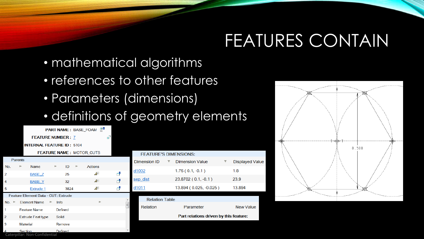# FEATURES CONTAIN

- mathematical algorithms
- references to other features
- Parameters (dimensions)
- definitions of geometry elements

|                        |                                     |                               |             |                |  | $\mathbb{R}^n$<br><b>PART NAME: BASE_FOAM</b> |                                                |                                        |  |                        |   |                        |
|------------------------|-------------------------------------|-------------------------------|-------------|----------------|--|-----------------------------------------------|------------------------------------------------|----------------------------------------|--|------------------------|---|------------------------|
|                        | Ð<br><b>FEATURE NUMBER: 7</b>       |                               |             |                |  |                                               |                                                |                                        |  |                        |   |                        |
|                        | <b>INTERNAL FEATURE ID: 5104</b>    |                               |             |                |  |                                               |                                                |                                        |  |                        |   |                        |
|                        | <b>FEATURE NAME: MOTOR_CUTS</b>     |                               |             |                |  | <b>FEATURE'S DIMENSIONS:</b>                  |                                                |                                        |  |                        |   |                        |
| <b>Parents</b>         |                                     |                               |             |                |  |                                               |                                                | Dimension ID                           |  | <b>Dimension Value</b> | ₹ | <b>Displayed Value</b> |
| No.                    |                                     | <b>Name</b>                   |             | ID             |  | <b>Actions</b>                                |                                                | d1002                                  |  | $1.75(0.1,-0.1)$       |   | 1.8                    |
| $\overline{2}$<br>4    |                                     | BASE_Z<br><b>BASE Y</b>       |             | 25<br>32       |  | $\mathbb{A}^*$<br>$\Delta^+$                  | $\overline{\mathbf{r}}$<br>$\Box^{\mathbf{B}}$ | sep_dist                               |  | 23.8702 (0.1, -0.1)    |   | 23.9                   |
| 5                      |                                     | Extrude 1                     |             | 3824           |  | $\mathbb{A}^*$                                | $\overline{\mathbf{C}}$                        | d1011                                  |  | 13.894 (0.025, -0.025) |   | 13.894                 |
|                        | Feature Element Data - CUT: Extrude |                               |             |                |  |                                               |                                                |                                        |  |                        |   |                        |
| No.<br>[BV             |                                     | <b>Element Name</b>           | <b>Info</b> |                |  |                                               |                                                | <b>Relation Table</b>                  |  |                        |   |                        |
| 1                      |                                     | <b>Feature Name</b>           |             | <b>Defined</b> |  |                                               |                                                | Relation                               |  | Parameter              |   | New Value              |
| $\overline{2}$         |                                     | <b>Extrude Feat type</b>      | Solid       |                |  |                                               |                                                | Part relations driven by this feature: |  |                        |   |                        |
| 3                      | Material                            |                               |             | Remove         |  |                                               |                                                |                                        |  |                        |   |                        |
| $\boldsymbol{\Lambda}$ | Section                             |                               |             | <b>Defined</b> |  |                                               |                                                |                                        |  |                        |   |                        |
|                        |                                     | Caterpillar: Non-Confidential |             |                |  |                                               |                                                |                                        |  |                        |   |                        |

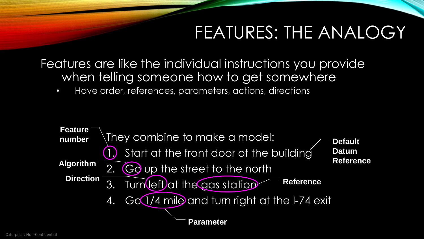# FEATURES: THE ANALOGY

Features are like the individual instructions you provide when telling someone how to get somewhere

• Have order, references, parameters, actions, directions

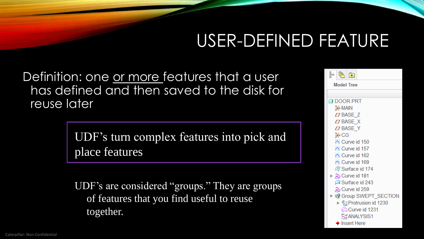# USER-DEFINED FEATURE

Definition: one or more features that a user has defined and then saved to the disk for reuse later

> UDF's turn complex features into pick and place features

UDF's are considered "groups." They are groups of features that you find useful to reuse together.

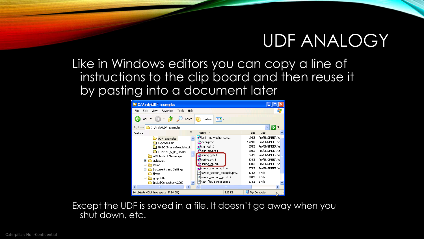#### UDF ANALOGY

Like in Windows editors you can copy a line of instructions to the clip board and then reuse it by pasting into a document later

| <sup>2</sup> C: VAndy VUDF_examples                            |                             |        |                 |  |  |  |  |  |  |  |  |
|----------------------------------------------------------------|-----------------------------|--------|-----------------|--|--|--|--|--|--|--|--|
| Edit<br>File<br>Favorites<br>Tools<br>View<br><b>Help</b>      |                             |        |                 |  |  |  |  |  |  |  |  |
| m.<br>Search<br>Back -<br>Folders                              |                             |        |                 |  |  |  |  |  |  |  |  |
| $\Rightarrow$ Go<br><b>Address</b><br>C:\Andy\UDF_examples     |                             |        |                 |  |  |  |  |  |  |  |  |
| ×<br>Folders                                                   | Name<br>人                   | Size   | Type            |  |  |  |  |  |  |  |  |
| UDF examples                                                   | bolt_nut_washer.gph.1       | 19 KB  | Pro/ENGINEER Ve |  |  |  |  |  |  |  |  |
| KП<br>expenses.zip                                             | door.prt.6                  | 192 KB | Pro/ENGINEER Ve |  |  |  |  |  |  |  |  |
| NASCOPresenTemplate.zip                                        | $\sum$ sign.gph.1           | 25 KB  | Pro/ENGINEER Ve |  |  |  |  |  |  |  |  |
| TPPINST 5 04 98.zip<br>BП                                      | Sign_gp.prt.1               | 38 KB  | Pro/ENGINEER Ve |  |  |  |  |  |  |  |  |
| AOL Instant Messenger                                          | Spring.gph.1                | 24 KB  | Pro/ENGINEER Ve |  |  |  |  |  |  |  |  |
| ▣<br>aolextras                                                 | $Q$ spring.prt.1            | 43 KB  | Pro/ENGINEER Ve |  |  |  |  |  |  |  |  |
| 国<br>Demo                                                      | spring_gp.prt.1             | 43 KB  | Pro/ENGINEER Ve |  |  |  |  |  |  |  |  |
| Œ<br>Documents and Settings                                    | Swept_section.gph.4         | 27 KB  | Pro/ENGINEER Ve |  |  |  |  |  |  |  |  |
| flexim                                                         | swept_section_example.prt.2 | 47 KB  | 2 File          |  |  |  |  |  |  |  |  |
| Œ<br>graphiclib                                                | swept_section_gp.prt.2      | 38 KB  | 2 File          |  |  |  |  |  |  |  |  |
| Install CompuServe2000                                         | test_flex_spring.asm.2<br>и | 31 KB  | 2 File          |  |  |  |  |  |  |  |  |
| ∢<br>⋟<br><b>TITLE</b>                                         | ШI                          |        |                 |  |  |  |  |  |  |  |  |
| 14 objects (Disk free space: 5.69 GB)<br>622 KB<br>My Computer |                             |        |                 |  |  |  |  |  |  |  |  |

Except the UDF is saved in a file. It doesn't go away when you shut down, etc.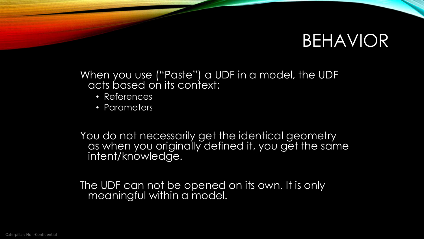#### BEHAVIOR

When you use ("Paste") a UDF in a model, the UDF acts based on its context:

- References
- Parameters

You do not necessarily get the identical geometry as when you originally defined it, you get the same intent/knowledge.

The UDF can not be opened on its own. It is only meaningful within a model.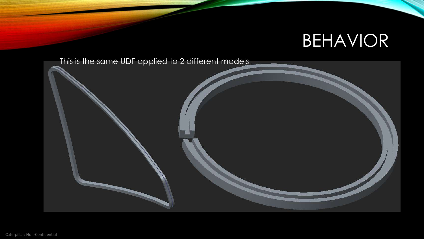# BEHAVIOR

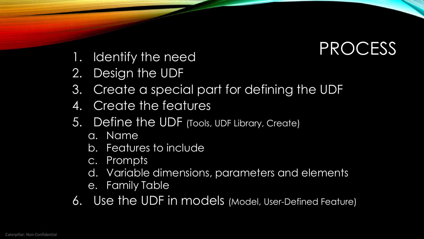- 1. Identify the need<br> **PROCESS**
- 2. Design the UDF
- 3. Create a special part for defining the UDF
- 4. Create the features
- 5. Define the UDF (Tools, UDF Library, Create)
	- a. Name
	- b. Features to include
	- c. Prompts
	- d. Variable dimensions, parameters and elements
	- e. Family Table
- 6. Use the UDF in models (Model, User-Defined Feature)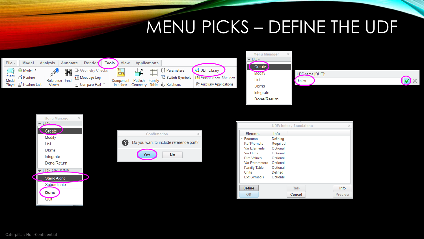## MENU PICKS – DEFINE THE UDF



| × |          |
|---|----------|
|   |          |
|   |          |
|   | UDE name |
|   | holes    |
|   |          |
|   |          |
|   |          |
|   |          |

 $[QUIT]$ :

**Info** 

Preview

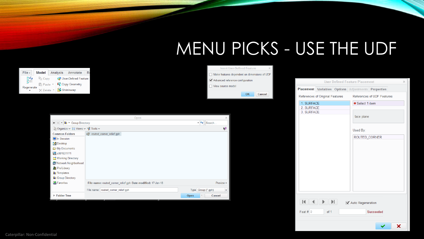# MENU PICKS - USE THE UDF

Feat #  $|0$ 

of 1

|                                               |                                                              |                                                    | <b>Insert User-Defined Feature</b>           |                                                    |                                       |  |  |
|-----------------------------------------------|--------------------------------------------------------------|----------------------------------------------------|----------------------------------------------|----------------------------------------------------|---------------------------------------|--|--|
| Analysis<br><b>Model</b><br>Annotate          | R <sub>0</sub>                                               |                                                    | Make features dependent on dimensions of UDF |                                                    |                                       |  |  |
| lle Copy<br><b>&amp;</b> User-Defined Feature |                                                              | Advanced reference configuration                   |                                              |                                                    | <b>User Defined Feature Placement</b> |  |  |
| <b>F</b> Copy Geometry<br>■ Paste ▼           |                                                              | View source model                                  |                                              |                                                    |                                       |  |  |
| Shrinkwrap<br>X Delete ▼                      |                                                              |                                                    | OK<br>Cancel                                 | Placement Variables Options Adjustments Properties |                                       |  |  |
|                                               |                                                              |                                                    |                                              | References of Original Features                    | References of UDF Features            |  |  |
|                                               |                                                              |                                                    |                                              | 1. SURFACE                                         | ● Select 1 item                       |  |  |
|                                               |                                                              |                                                    |                                              | 2. SURFACE                                         |                                       |  |  |
|                                               |                                                              |                                                    |                                              | 3. SURFACE                                         | face plane                            |  |  |
|                                               | Open                                                         | $\blacktriangleright$ $\blacktriangleright$ Search |                                              |                                                    |                                       |  |  |
| ← → File + Group Directory                    |                                                              |                                                    |                                              |                                                    |                                       |  |  |
| <b>Diganize v</b> iii Views v n Tools v       |                                                              | Ŋ.                                                 |                                              |                                                    | Used By:                              |  |  |
| <b>Common Folders</b><br>In Session           | outed_corner_relief.gph                                      |                                                    |                                              |                                                    | ROUTED_CORNER                         |  |  |
| Desktop                                       |                                                              |                                                    |                                              |                                                    |                                       |  |  |
| My Documents                                  |                                                              |                                                    |                                              |                                                    |                                       |  |  |
| e001631771                                    |                                                              |                                                    |                                              |                                                    |                                       |  |  |
| Working Directory                             |                                                              |                                                    |                                              |                                                    |                                       |  |  |
| Network Neighborhood                          |                                                              |                                                    |                                              |                                                    |                                       |  |  |
| <b>Filt</b> Pro/Library                       |                                                              |                                                    |                                              |                                                    |                                       |  |  |
| <b>E</b> Templates                            |                                                              |                                                    |                                              |                                                    |                                       |  |  |
| <b>Group Directory</b>                        |                                                              |                                                    |                                              |                                                    |                                       |  |  |
| Favorites                                     | File name: routed_corner_relief.gph Date modified: 17-Jan-18 | $Preview -$                                        |                                              |                                                    |                                       |  |  |
|                                               | File name: routed_corner_relief.gph                          | Type Group (*.gph)<br>$\overline{\mathbf{v}}$      |                                              |                                                    |                                       |  |  |
| ▶ Folder Tree                                 |                                                              | Open<br>Cancel                                     |                                              |                                                    |                                       |  |  |
|                                               |                                                              |                                                    |                                              | $\blacktriangleright$<br>м<br>⊪                    | Auto Regeneration                     |  |  |

Succeeded

✓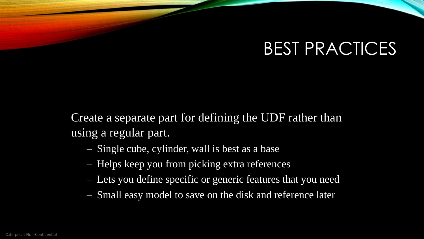Create a separate part for defining the UDF rather than using a regular part.

- Single cube, cylinder, wall is best as a base
- Helps keep you from picking extra references
- Lets you define specific or generic features that you need
- Small easy model to save on the disk and reference later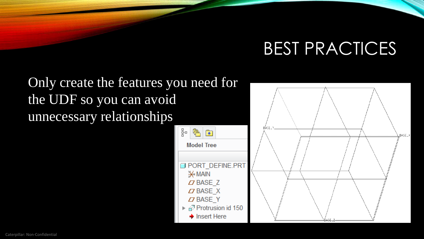$BASE_$ 

Only create the features you need for the UDF so you can avoid unnecessary relationships

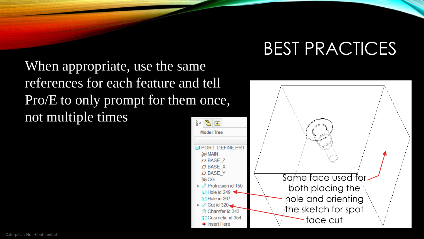When appropriate, use the same references for each feature and tell Pro/E to only prompt for them once, not multiple times

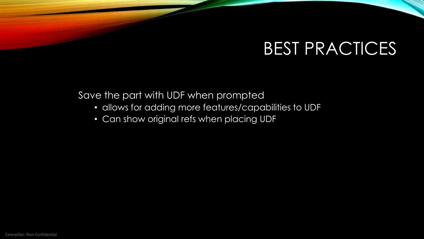Save the part with UDF when prompted

- allows for adding more features/capabilities to UDF
- Can show original refs when placing UDF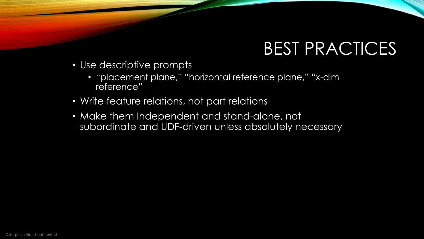- Use descriptive prompts
	- "placement plane," "horizontal reference plane," "x-dim reference"
- Write feature relations, not part relations
- Make them Independent and stand-alone, not subordinate and UDF-driven unless absolutely necessary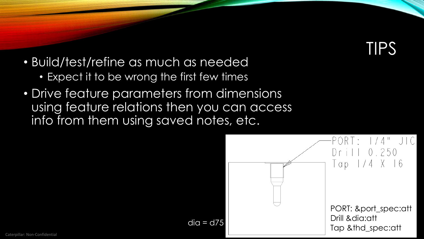TIPS

- Build/test/refine as much as needed
	- Expect it to be wrong the first few times
- Drive feature parameters from dimensions using feature relations then you can access info from them using saved notes, etc.

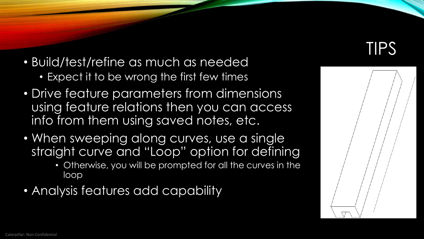- Build/test/refine as much as needed
	- Expect it to be wrong the first few times
- Drive feature parameters from dimensions using feature relations then you can access info from them using saved notes, etc.
- When sweeping along curves, use a single straight curve and "Loop" option for defining
	- Otherwise, you will be prompted for all the curves in the loop
- Analysis features add capability



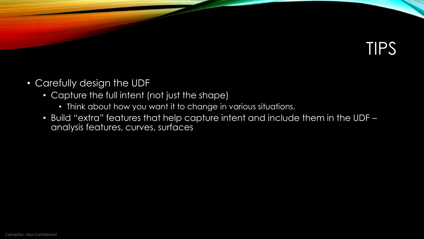# TIPS

- Carefully design the UDF
	- Capture the full intent (not just the shape)
		- Think about how you want it to change in various situations.
	- Build "extra" features that help capture intent and include them in the UDF analysis features, curves, surfaces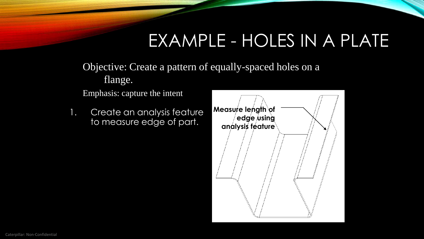Objective: Create a pattern of equally-spaced holes on a flange.

Emphasis: capture the intent

1. Create an analysis feature to measure edge of part.

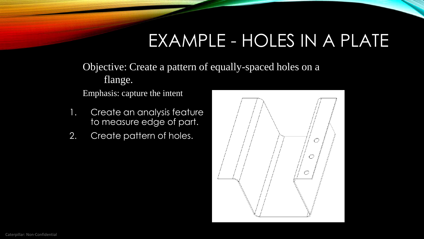Objective: Create a pattern of equally-spaced holes on a flange.

Emphasis: capture the intent

- 1. Create an analysis feature to measure edge of part.
- 2. Create pattern of holes.

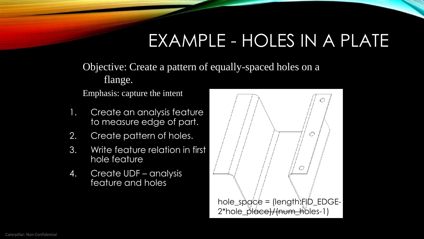Objective: Create a pattern of equally-spaced holes on a flange.

Emphasis: capture the intent

- 1. Create an analysis feature to measure edge of part.
- 2. Create pattern of holes.
- 3. Write feature relation in first hole feature
- 4. Create UDF analysis feature and holes

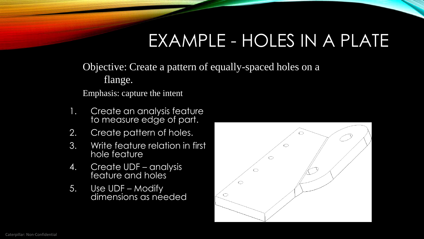Objective: Create a pattern of equally-spaced holes on a flange.

Emphasis: capture the intent

- 1. Create an analysis feature to measure edge of part.
- 2. Create pattern of holes.
- 3. Write feature relation in first hole feature
- 4. Create UDF analysis feature and holes
- 5. Use UDF Modify dimensions as néeded

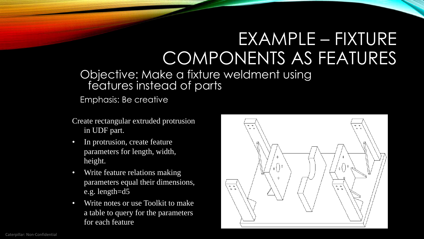# EXAMPLE – FIXTURE COMPONENTS AS FEATURES

#### Objective: Make a fixture weldment using features instead of parts

Emphasis: Be creative

- Create rectangular extruded protrusion in UDF part.
- In protrusion, create feature parameters for length, width, height.
- Write feature relations making parameters equal their dimensions, e.g. length=d5
- Write notes or use Toolkit to make a table to query for the parameters for each feature

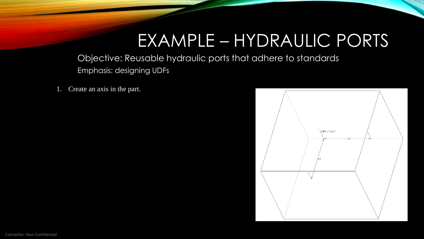#### EXAMPLE – HYDRAULIC PORTS

Objective: Reusable hydraulic ports that adhere to standards Emphasis: designing UDFs

1. Create an axis in the part.

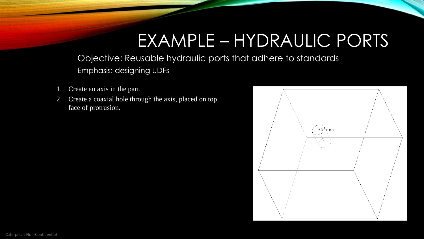#### EXAMPLE – HYDRAULIC PORTS

Objective: Reusable hydraulic ports that adhere to standards Emphasis: designing UDFs

- Create an axis in the part.
- 2. Create a coaxial hole through the axis, placed on top face of protrusion.

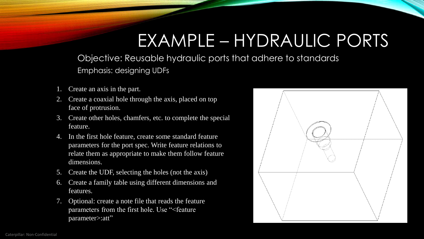#### EXAMPLE – HYDRAULIC PORTS

Objective: Reusable hydraulic ports that adhere to standards Emphasis: designing UDFs

- Create an axis in the part.
- 2. Create a coaxial hole through the axis, placed on top face of protrusion.
- 3. Create other holes, chamfers, etc. to complete the special feature.
- 4. In the first hole feature, create some standard feature parameters for the port spec. Write feature relations to relate them as appropriate to make them follow feature dimensions.
- 5. Create the UDF, selecting the holes (not the axis)
- 6. Create a family table using different dimensions and features.
- 7. Optional: create a note file that reads the feature parameters from the first hole. Use "<feature parameter>:att"

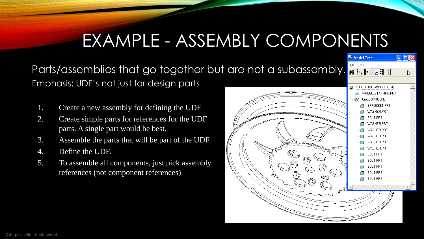#### EXAMPLE - ASSEMBLY COMPONENTS

Parts/assemblies that go together but are not a subassembly. Emphasis: UDF's not just for design parts

- 1. Create a new assembly for defining the UDF
- 2. Create simple parts for references for the UDF parts. A single part would be best.
- 3. Assemble the parts that will be part of the UDF.
- 4. Define the UDF.
- 5. To assemble all components, just pick assembly references (not component references)



 $\Box$ o $\boxtimes$ 

<sup>哪</sup> Model Tree File Tree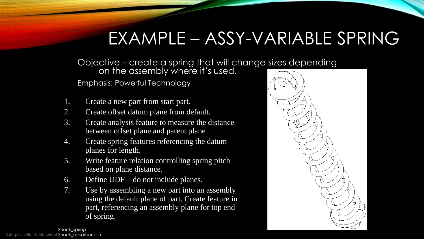#### EXAMPLE – ASSY-VARIABLE SPRING

Objective – create a spring that will change sizes depending

on the assembly where it's used.

Emphasis: Powerful Technology

- 1. Create a new part from start part.
- 2. Create offset datum plane from default.
- 3. Create analysis feature to measure the distance between offset plane and parent plane
- 4. Create spring features referencing the datum planes for length.
- 5. Write feature relation controlling spring pitch based on plane distance.
- 6. Define UDF do not include planes.
- 7. Use by assembling a new part into an assembly using the default plane of part. Create feature in part, referencing an assembly plane for top end of spring.



Caterpillar: Non-Confidential Shock\_absorber.asm Shock\_spring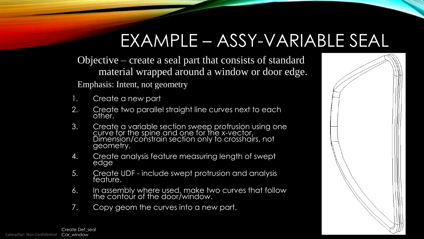# EXAMPLE – ASSY-VARIABLE SEAL

Objective – create a seal part that consists of standard material wrapped around a window or door edge. Emphasis: Intent, not geometry

- Create a new part
- 2. Create two parallel straight line curves next to each other.
- 3. Create a variable section sweep protrusion using one curve for the spine and one for the x-vector. Dimension/constrain section only to crosshairs, not geometry.
- 4. Create analysis feature measuring length of swept edge
- 5. Create UDF include swept protrusion and analysis feature.
- 6. In assembly where used, make two curves that follow the contour of the door/window.
- 7. Copy geom the curves into a new part.

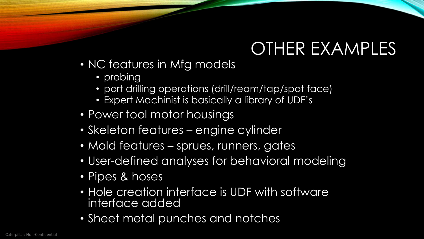# OTHER EXAMPLES

- NC features in Mfg models
	- probing
	- port drilling operations (drill/ream/tap/spot face)
	- Expert Machinist is basically a library of UDF's
- Power tool motor housings
- Skeleton features engine cylinder
- Mold features sprues, runners, gates
- User-defined analyses for behavioral modeling
- Pipes & hoses
- Hole creation interface is UDF with software interface added
- Sheet metal punches and notches